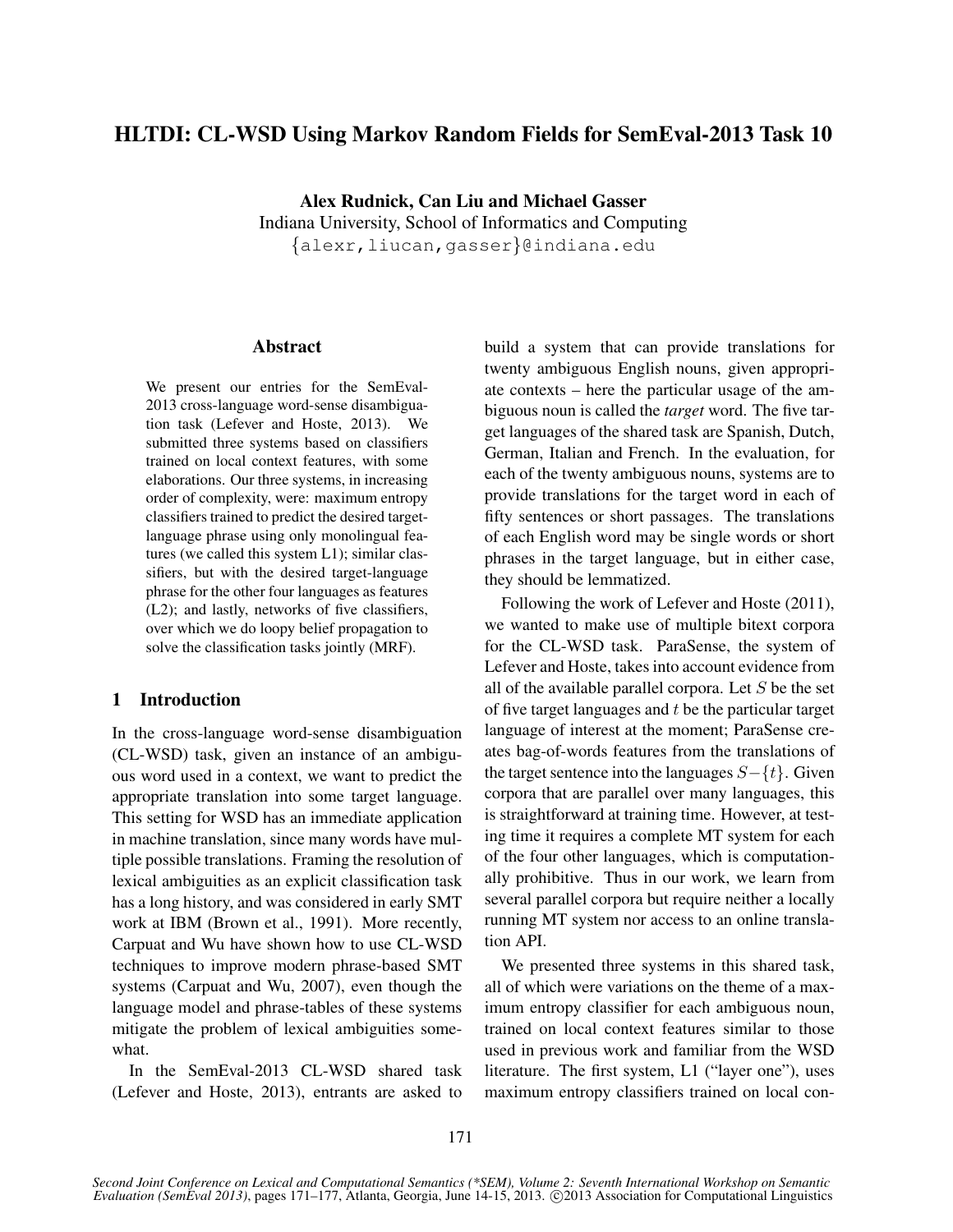# HLTDI: CL-WSD Using Markov Random Fields for SemEval-2013 Task 10

Alex Rudnick, Can Liu and Michael Gasser Indiana University, School of Informatics and Computing {alexr,liucan,gasser}@indiana.edu

### Abstract

We present our entries for the SemEval-2013 cross-language word-sense disambiguation task (Lefever and Hoste, 2013). We submitted three systems based on classifiers trained on local context features, with some elaborations. Our three systems, in increasing order of complexity, were: maximum entropy classifiers trained to predict the desired targetlanguage phrase using only monolingual features (we called this system L1); similar classifiers, but with the desired target-language phrase for the other four languages as features (L2); and lastly, networks of five classifiers, over which we do loopy belief propagation to solve the classification tasks jointly (MRF).

## 1 Introduction

In the cross-language word-sense disambiguation (CL-WSD) task, given an instance of an ambiguous word used in a context, we want to predict the appropriate translation into some target language. This setting for WSD has an immediate application in machine translation, since many words have multiple possible translations. Framing the resolution of lexical ambiguities as an explicit classification task has a long history, and was considered in early SMT work at IBM (Brown et al., 1991). More recently, Carpuat and Wu have shown how to use CL-WSD techniques to improve modern phrase-based SMT systems (Carpuat and Wu, 2007), even though the language model and phrase-tables of these systems mitigate the problem of lexical ambiguities somewhat.

In the SemEval-2013 CL-WSD shared task (Lefever and Hoste, 2013), entrants are asked to build a system that can provide translations for twenty ambiguous English nouns, given appropriate contexts – here the particular usage of the ambiguous noun is called the *target* word. The five target languages of the shared task are Spanish, Dutch, German, Italian and French. In the evaluation, for each of the twenty ambiguous nouns, systems are to provide translations for the target word in each of fifty sentences or short passages. The translations of each English word may be single words or short phrases in the target language, but in either case, they should be lemmatized.

Following the work of Lefever and Hoste (2011), we wanted to make use of multiple bitext corpora for the CL-WSD task. ParaSense, the system of Lefever and Hoste, takes into account evidence from all of the available parallel corpora. Let  $S$  be the set of five target languages and  $t$  be the particular target language of interest at the moment; ParaSense creates bag-of-words features from the translations of the target sentence into the languages  $S-\{t\}$ . Given corpora that are parallel over many languages, this is straightforward at training time. However, at testing time it requires a complete MT system for each of the four other languages, which is computationally prohibitive. Thus in our work, we learn from several parallel corpora but require neither a locally running MT system nor access to an online translation API.

We presented three systems in this shared task, all of which were variations on the theme of a maximum entropy classifier for each ambiguous noun, trained on local context features similar to those used in previous work and familiar from the WSD literature. The first system, L1 ("layer one"), uses maximum entropy classifiers trained on local con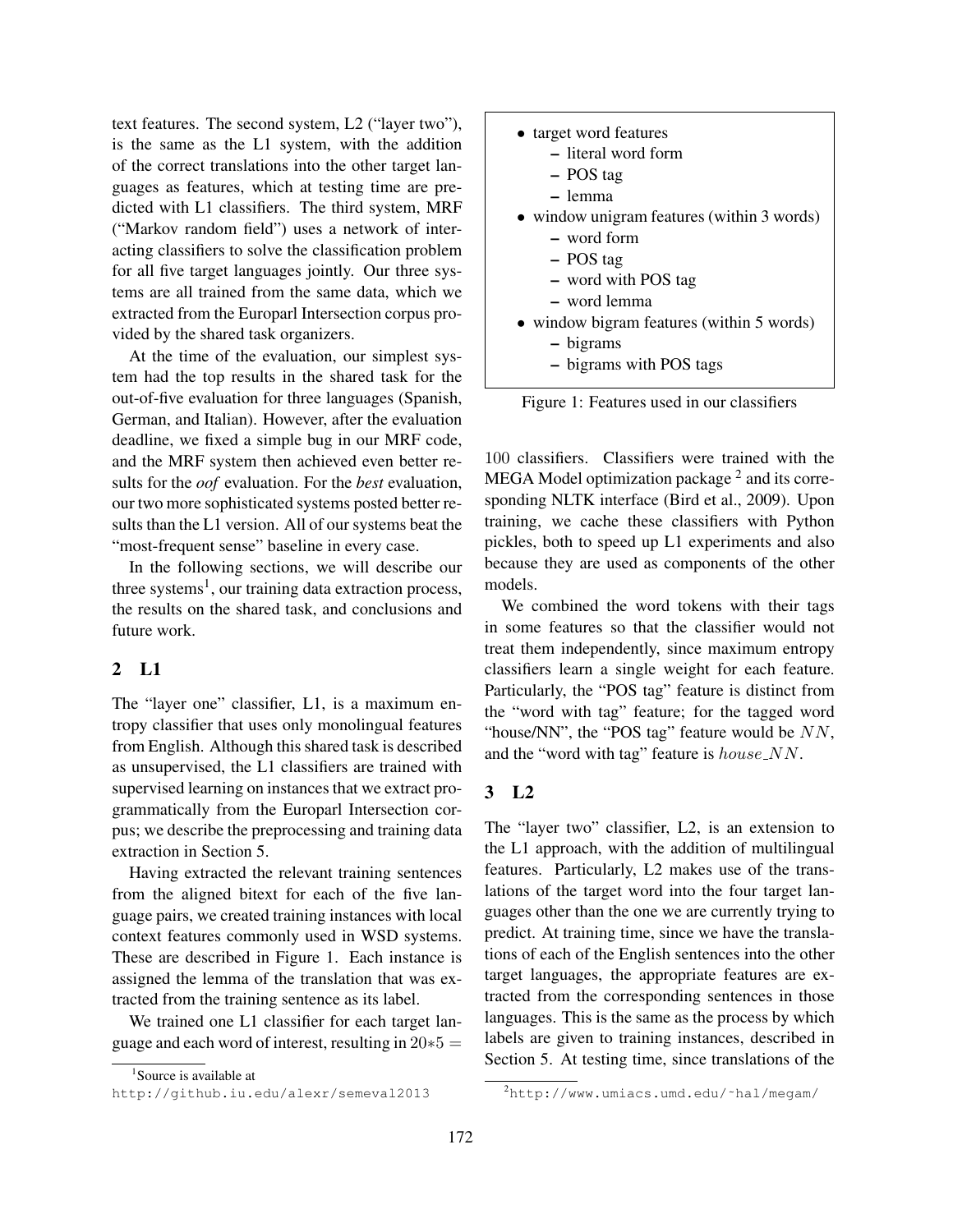text features. The second system, L2 ("layer two"), is the same as the L1 system, with the addition of the correct translations into the other target languages as features, which at testing time are predicted with L1 classifiers. The third system, MRF ("Markov random field") uses a network of interacting classifiers to solve the classification problem for all five target languages jointly. Our three systems are all trained from the same data, which we extracted from the Europarl Intersection corpus provided by the shared task organizers.

At the time of the evaluation, our simplest system had the top results in the shared task for the out-of-five evaluation for three languages (Spanish, German, and Italian). However, after the evaluation deadline, we fixed a simple bug in our MRF code, and the MRF system then achieved even better results for the *oof* evaluation. For the *best* evaluation, our two more sophisticated systems posted better results than the L1 version. All of our systems beat the "most-frequent sense" baseline in every case.

In the following sections, we will describe our three systems<sup>1</sup>, our training data extraction process, the results on the shared task, and conclusions and future work.

# 2 L1

The "layer one" classifier, L1, is a maximum entropy classifier that uses only monolingual features from English. Although this shared task is described as unsupervised, the L1 classifiers are trained with supervised learning on instances that we extract programmatically from the Europarl Intersection corpus; we describe the preprocessing and training data extraction in Section 5.

Having extracted the relevant training sentences from the aligned bitext for each of the five language pairs, we created training instances with local context features commonly used in WSD systems. These are described in Figure 1. Each instance is assigned the lemma of the translation that was extracted from the training sentence as its label.

We trained one L1 classifier for each target language and each word of interest, resulting in  $20*5 =$ 

| • target word features                     |
|--------------------------------------------|
| - literal word form                        |
| - POS tag                                  |
| $-$ lemma                                  |
| • window unigram features (within 3 words) |
| - word form                                |
| - POS tag                                  |
| - word with POS tag                        |
| - word lemma                               |
| • window bigram features (within 5 words)  |
|                                            |

- bigrams
- bigrams with POS tags

Figure 1: Features used in our classifiers

100 classifiers. Classifiers were trained with the MEGA Model optimization package  $^2$  and its corresponding NLTK interface (Bird et al., 2009). Upon training, we cache these classifiers with Python pickles, both to speed up L1 experiments and also because they are used as components of the other models.

We combined the word tokens with their tags in some features so that the classifier would not treat them independently, since maximum entropy classifiers learn a single weight for each feature. Particularly, the "POS tag" feature is distinct from the "word with tag" feature; for the tagged word "house/NN", the "POS tag" feature would be  $NN$ , and the "word with tag" feature is  $house\_NN$ .

## 3 L2

The "layer two" classifier, L2, is an extension to the L1 approach, with the addition of multilingual features. Particularly, L2 makes use of the translations of the target word into the four target languages other than the one we are currently trying to predict. At training time, since we have the translations of each of the English sentences into the other target languages, the appropriate features are extracted from the corresponding sentences in those languages. This is the same as the process by which labels are given to training instances, described in Section 5. At testing time, since translations of the

<sup>&</sup>lt;sup>1</sup>Source is available at

http://github.iu.edu/alexr/semeval2013

 $^{2}$ http://www.umiacs.umd.edu/~hal/megam/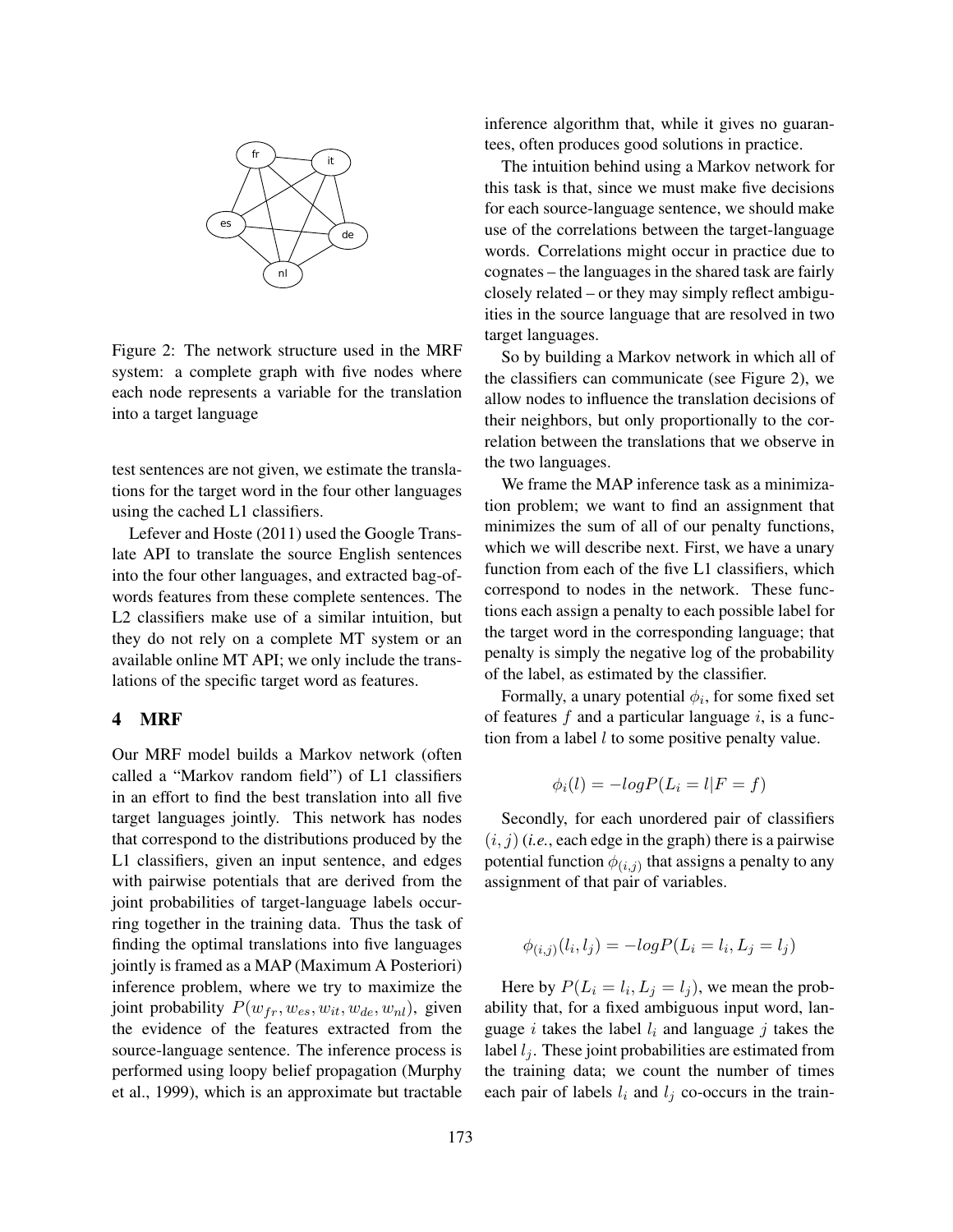

Figure 2: The network structure used in the MRF system: a complete graph with five nodes where each node represents a variable for the translation into a target language

test sentences are not given, we estimate the translations for the target word in the four other languages using the cached L1 classifiers.

Lefever and Hoste (2011) used the Google Translate API to translate the source English sentences into the four other languages, and extracted bag-ofwords features from these complete sentences. The L2 classifiers make use of a similar intuition, but they do not rely on a complete MT system or an available online MT API; we only include the translations of the specific target word as features.

#### 4 MRF

Our MRF model builds a Markov network (often called a "Markov random field") of L1 classifiers in an effort to find the best translation into all five target languages jointly. This network has nodes that correspond to the distributions produced by the L1 classifiers, given an input sentence, and edges with pairwise potentials that are derived from the joint probabilities of target-language labels occurring together in the training data. Thus the task of finding the optimal translations into five languages jointly is framed as a MAP (Maximum A Posteriori) inference problem, where we try to maximize the joint probability  $P(w_{fr}, w_{es}, w_{it}, w_{de}, w_{nl})$ , given the evidence of the features extracted from the source-language sentence. The inference process is performed using loopy belief propagation (Murphy et al., 1999), which is an approximate but tractable inference algorithm that, while it gives no guarantees, often produces good solutions in practice.

The intuition behind using a Markov network for this task is that, since we must make five decisions for each source-language sentence, we should make use of the correlations between the target-language words. Correlations might occur in practice due to cognates – the languages in the shared task are fairly closely related – or they may simply reflect ambiguities in the source language that are resolved in two target languages.

So by building a Markov network in which all of the classifiers can communicate (see Figure 2), we allow nodes to influence the translation decisions of their neighbors, but only proportionally to the correlation between the translations that we observe in the two languages.

We frame the MAP inference task as a minimization problem; we want to find an assignment that minimizes the sum of all of our penalty functions, which we will describe next. First, we have a unary function from each of the five L1 classifiers, which correspond to nodes in the network. These functions each assign a penalty to each possible label for the target word in the corresponding language; that penalty is simply the negative log of the probability of the label, as estimated by the classifier.

Formally, a unary potential  $\phi_i$ , for some fixed set of features  $f$  and a particular language  $i$ , is a function from a label  $l$  to some positive penalty value.

$$
\phi_i(l) = -logP(L_i = l|F = f)
$$

Secondly, for each unordered pair of classifiers  $(i, j)$  (*i.e.*, each edge in the graph) there is a pairwise potential function  $\phi_{(i,j)}$  that assigns a penalty to any assignment of that pair of variables.

$$
\phi_{(i,j)}(l_i, l_j) = -logP(L_i = l_i, L_j = l_j)
$$

Here by  $P(L_i = l_i, L_j = l_j)$ , we mean the probability that, for a fixed ambiguous input word, language i takes the label  $l_i$  and language j takes the label  $l_i$ . These joint probabilities are estimated from the training data; we count the number of times each pair of labels  $l_i$  and  $l_j$  co-occurs in the train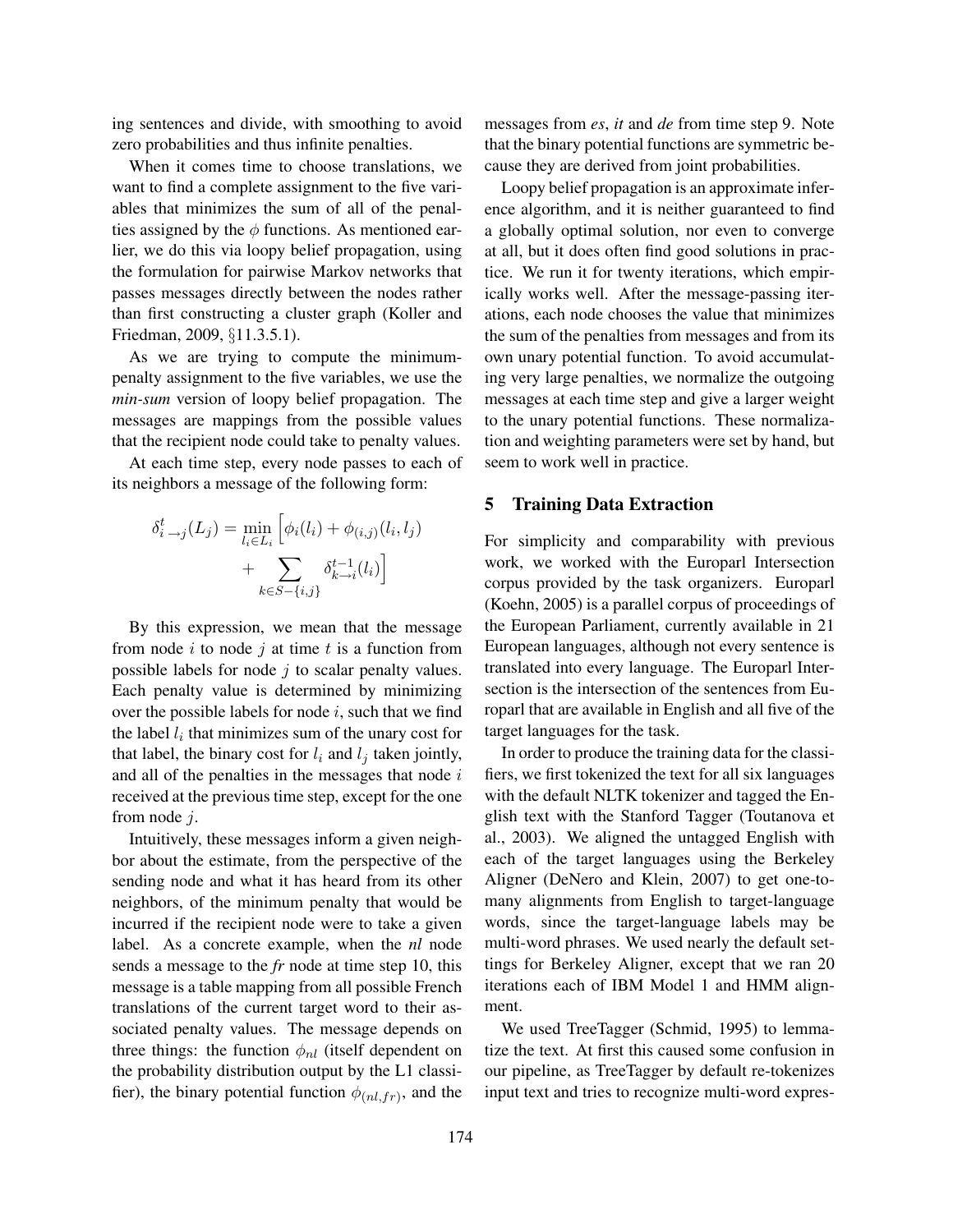ing sentences and divide, with smoothing to avoid zero probabilities and thus infinite penalties.

When it comes time to choose translations, we want to find a complete assignment to the five variables that minimizes the sum of all of the penalties assigned by the  $\phi$  functions. As mentioned earlier, we do this via loopy belief propagation, using the formulation for pairwise Markov networks that passes messages directly between the nodes rather than first constructing a cluster graph (Koller and Friedman, 2009, §11.3.5.1).

As we are trying to compute the minimumpenalty assignment to the five variables, we use the *min-sum* version of loopy belief propagation. The messages are mappings from the possible values that the recipient node could take to penalty values.

At each time step, every node passes to each of its neighbors a message of the following form:

$$
\delta_{i \to j}^t(L_j) = \min_{l_i \in L_i} \left[ \phi_i(l_i) + \phi_{(i,j)}(l_i, l_j) + \sum_{k \in S - \{i,j\}} \delta_{k \to i}^{t-1}(l_i) \right]
$$

By this expression, we mean that the message from node  $i$  to node  $j$  at time  $t$  is a function from possible labels for node  $j$  to scalar penalty values. Each penalty value is determined by minimizing over the possible labels for node  $i$ , such that we find the label  $l_i$  that minimizes sum of the unary cost for that label, the binary cost for  $l_i$  and  $l_j$  taken jointly, and all of the penalties in the messages that node  $i$ received at the previous time step, except for the one from node j.

Intuitively, these messages inform a given neighbor about the estimate, from the perspective of the sending node and what it has heard from its other neighbors, of the minimum penalty that would be incurred if the recipient node were to take a given label. As a concrete example, when the *nl* node sends a message to the *fr* node at time step 10, this message is a table mapping from all possible French translations of the current target word to their associated penalty values. The message depends on three things: the function  $\phi_{nl}$  (itself dependent on the probability distribution output by the L1 classifier), the binary potential function  $\phi_{(nl,fr)}$ , and the messages from *es*, *it* and *de* from time step 9. Note that the binary potential functions are symmetric because they are derived from joint probabilities.

Loopy belief propagation is an approximate inference algorithm, and it is neither guaranteed to find a globally optimal solution, nor even to converge at all, but it does often find good solutions in practice. We run it for twenty iterations, which empirically works well. After the message-passing iterations, each node chooses the value that minimizes the sum of the penalties from messages and from its own unary potential function. To avoid accumulating very large penalties, we normalize the outgoing messages at each time step and give a larger weight to the unary potential functions. These normalization and weighting parameters were set by hand, but seem to work well in practice.

#### 5 Training Data Extraction

For simplicity and comparability with previous work, we worked with the Europarl Intersection corpus provided by the task organizers. Europarl (Koehn, 2005) is a parallel corpus of proceedings of the European Parliament, currently available in 21 European languages, although not every sentence is translated into every language. The Europarl Intersection is the intersection of the sentences from Europarl that are available in English and all five of the target languages for the task.

In order to produce the training data for the classifiers, we first tokenized the text for all six languages with the default NLTK tokenizer and tagged the English text with the Stanford Tagger (Toutanova et al., 2003). We aligned the untagged English with each of the target languages using the Berkeley Aligner (DeNero and Klein, 2007) to get one-tomany alignments from English to target-language words, since the target-language labels may be multi-word phrases. We used nearly the default settings for Berkeley Aligner, except that we ran 20 iterations each of IBM Model 1 and HMM alignment.

We used TreeTagger (Schmid, 1995) to lemmatize the text. At first this caused some confusion in our pipeline, as TreeTagger by default re-tokenizes input text and tries to recognize multi-word expres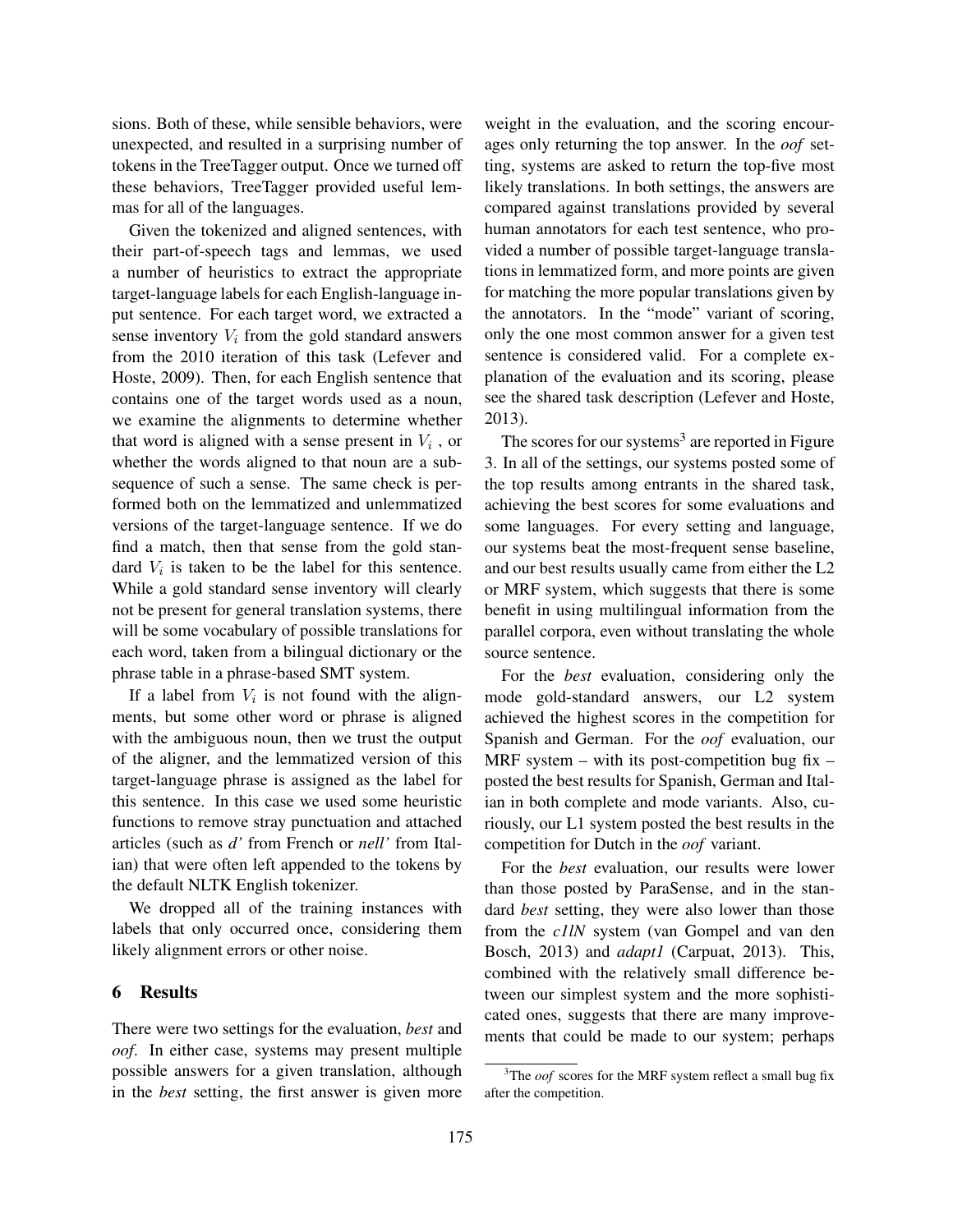sions. Both of these, while sensible behaviors, were unexpected, and resulted in a surprising number of tokens in the TreeTagger output. Once we turned off these behaviors, TreeTagger provided useful lemmas for all of the languages.

Given the tokenized and aligned sentences, with their part-of-speech tags and lemmas, we used a number of heuristics to extract the appropriate target-language labels for each English-language input sentence. For each target word, we extracted a sense inventory  $V_i$  from the gold standard answers from the 2010 iteration of this task (Lefever and Hoste, 2009). Then, for each English sentence that contains one of the target words used as a noun, we examine the alignments to determine whether that word is aligned with a sense present in  $V_i$ , or whether the words aligned to that noun are a subsequence of such a sense. The same check is performed both on the lemmatized and unlemmatized versions of the target-language sentence. If we do find a match, then that sense from the gold standard  $V_i$  is taken to be the label for this sentence. While a gold standard sense inventory will clearly not be present for general translation systems, there will be some vocabulary of possible translations for each word, taken from a bilingual dictionary or the phrase table in a phrase-based SMT system.

If a label from  $V_i$  is not found with the alignments, but some other word or phrase is aligned with the ambiguous noun, then we trust the output of the aligner, and the lemmatized version of this target-language phrase is assigned as the label for this sentence. In this case we used some heuristic functions to remove stray punctuation and attached articles (such as *d'* from French or *nell'* from Italian) that were often left appended to the tokens by the default NLTK English tokenizer.

We dropped all of the training instances with labels that only occurred once, considering them likely alignment errors or other noise.

# 6 Results

There were two settings for the evaluation, *best* and *oof*. In either case, systems may present multiple possible answers for a given translation, although in the *best* setting, the first answer is given more

weight in the evaluation, and the scoring encourages only returning the top answer. In the *oof* setting, systems are asked to return the top-five most likely translations. In both settings, the answers are compared against translations provided by several human annotators for each test sentence, who provided a number of possible target-language translations in lemmatized form, and more points are given for matching the more popular translations given by the annotators. In the "mode" variant of scoring, only the one most common answer for a given test sentence is considered valid. For a complete explanation of the evaluation and its scoring, please see the shared task description (Lefever and Hoste, 2013).

The scores for our systems<sup>3</sup> are reported in Figure 3. In all of the settings, our systems posted some of the top results among entrants in the shared task, achieving the best scores for some evaluations and some languages. For every setting and language, our systems beat the most-frequent sense baseline, and our best results usually came from either the L2 or MRF system, which suggests that there is some benefit in using multilingual information from the parallel corpora, even without translating the whole source sentence.

For the *best* evaluation, considering only the mode gold-standard answers, our L2 system achieved the highest scores in the competition for Spanish and German. For the *oof* evaluation, our MRF system  $-$  with its post-competition bug fix  $$ posted the best results for Spanish, German and Italian in both complete and mode variants. Also, curiously, our L1 system posted the best results in the competition for Dutch in the *oof* variant.

For the *best* evaluation, our results were lower than those posted by ParaSense, and in the standard *best* setting, they were also lower than those from the *c1lN* system (van Gompel and van den Bosch, 2013) and *adapt1* (Carpuat, 2013). This, combined with the relatively small difference between our simplest system and the more sophisticated ones, suggests that there are many improvements that could be made to our system; perhaps

<sup>&</sup>lt;sup>3</sup>The *oof* scores for the MRF system reflect a small bug fix after the competition.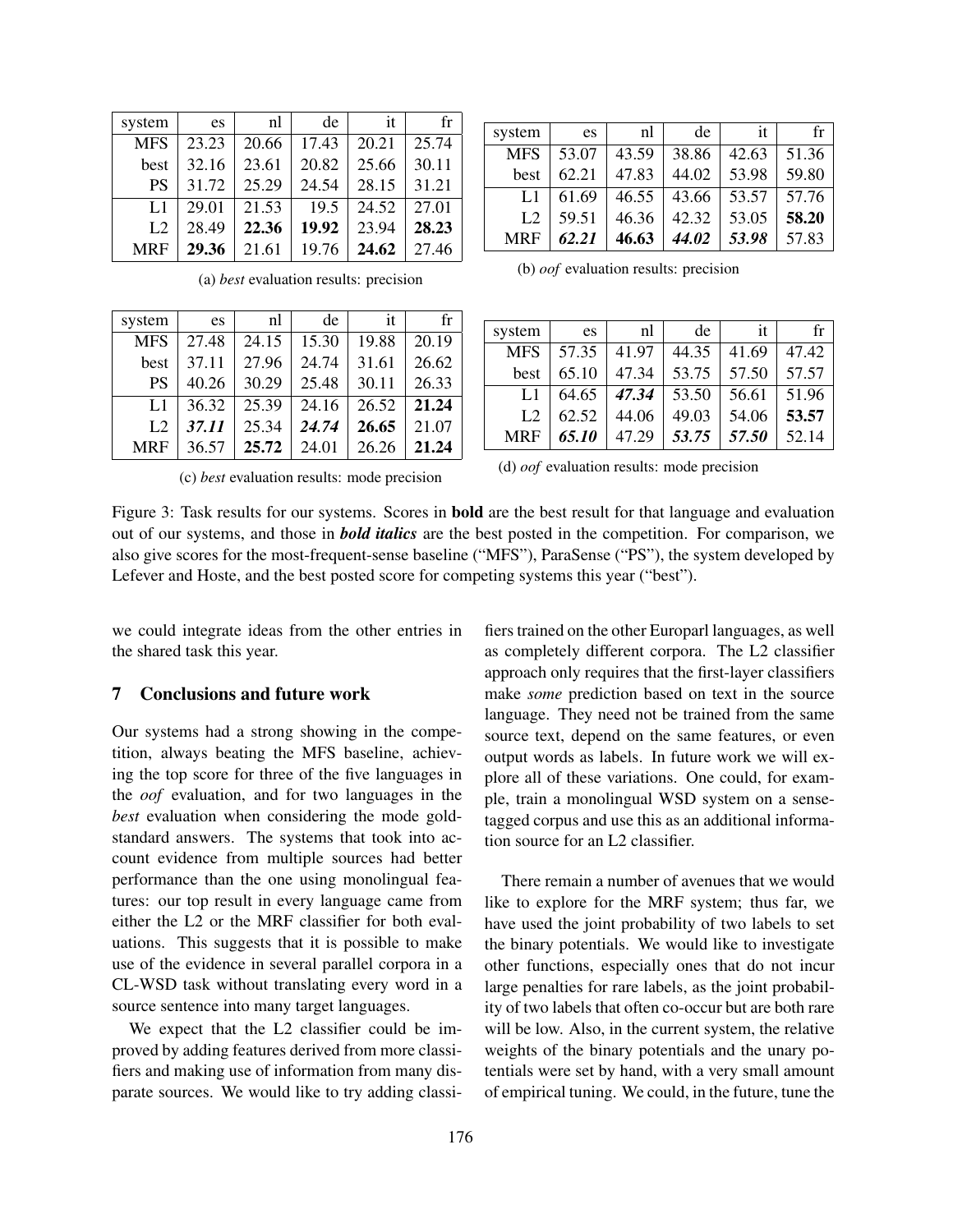| system         | es    | nl    | de    | it    | fr    |
|----------------|-------|-------|-------|-------|-------|
| <b>MFS</b>     | 23.23 | 20.66 | 17.43 | 20.21 | 25.74 |
| best           | 32.16 | 23.61 | 20.82 | 25.66 | 30.11 |
| <b>PS</b>      | 31.72 | 25.29 | 24.54 | 28.15 | 31.21 |
| L1             | 29.01 | 21.53 | 19.5  | 24.52 | 27.01 |
| L <sub>2</sub> | 28.49 | 22.36 | 19.92 | 23.94 | 28.23 |
| <b>MRF</b>     | 29.36 | 21.61 | 19.76 | 24.62 | 27.46 |
|                |       |       |       |       |       |

| system         | es    | nl    | de    | it    | $f_{r}$ |
|----------------|-------|-------|-------|-------|---------|
| <b>MFS</b>     | 27.48 | 24.15 | 15.30 | 19.88 | 20.19   |
| best           | 37.11 | 27.96 | 24.74 | 31.61 | 26.62   |
| <b>PS</b>      | 40.26 | 30.29 | 25.48 | 30.11 | 26.33   |
| L1             | 36.32 | 25.39 | 24.16 | 26.52 | 21.24   |
| L <sub>2</sub> | 37.11 | 25.34 | 24.74 | 26.65 | 21.07   |
| <b>MRF</b>     | 36.57 | 25.72 | 24.01 | 26.26 | 21.24   |

(a) *best* evaluation results: precision

|  | (c) best evaluation results: mode precision |  |  |
|--|---------------------------------------------|--|--|
|  |                                             |  |  |

| system         | es    | nl    | de    | it    | fr    |
|----------------|-------|-------|-------|-------|-------|
| <b>MFS</b>     | 53.07 | 43.59 | 38.86 | 42.63 | 51.36 |
| best           | 62.21 | 47.83 | 44.02 | 53.98 | 59.80 |
| L1             | 61.69 | 46.55 | 43.66 | 53.57 | 57.76 |
| L <sub>2</sub> | 59.51 | 46.36 | 42.32 | 53.05 | 58.20 |
| <b>MRF</b>     | 62.21 | 46.63 | 44.02 | 53.98 | 57.83 |

(b) *oof* evaluation results: precision

| system         | es    | nl    | de    | it    | fr    |
|----------------|-------|-------|-------|-------|-------|
| <b>MFS</b>     | 57.35 | 41.97 | 44.35 | 41.69 | 47.42 |
| best           | 65.10 | 47.34 | 53.75 | 57.50 | 57.57 |
| L1             | 64.65 | 47.34 | 53.50 | 56.61 | 51.96 |
| L <sub>2</sub> | 62.52 | 44.06 | 49.03 | 54.06 | 53.57 |
| <b>MRF</b>     | 65.10 | 47.29 | 53.75 | 57.50 | 52.14 |

| (d) <i>oof</i> evaluation results: mode precision |  |  |
|---------------------------------------------------|--|--|
|                                                   |  |  |

Figure 3: Task results for our systems. Scores in bold are the best result for that language and evaluation out of our systems, and those in *bold italics* are the best posted in the competition. For comparison, we also give scores for the most-frequent-sense baseline ("MFS"), ParaSense ("PS"), the system developed by Lefever and Hoste, and the best posted score for competing systems this year ("best").

we could integrate ideas from the other entries in the shared task this year.

# 7 Conclusions and future work

Our systems had a strong showing in the competition, always beating the MFS baseline, achieving the top score for three of the five languages in the *oof* evaluation, and for two languages in the *best* evaluation when considering the mode goldstandard answers. The systems that took into account evidence from multiple sources had better performance than the one using monolingual features: our top result in every language came from either the L2 or the MRF classifier for both evaluations. This suggests that it is possible to make use of the evidence in several parallel corpora in a CL-WSD task without translating every word in a source sentence into many target languages.

We expect that the L2 classifier could be improved by adding features derived from more classifiers and making use of information from many disparate sources. We would like to try adding classifiers trained on the other Europarl languages, as well as completely different corpora. The L2 classifier approach only requires that the first-layer classifiers make *some* prediction based on text in the source language. They need not be trained from the same source text, depend on the same features, or even output words as labels. In future work we will explore all of these variations. One could, for example, train a monolingual WSD system on a sensetagged corpus and use this as an additional information source for an L2 classifier.

There remain a number of avenues that we would like to explore for the MRF system; thus far, we have used the joint probability of two labels to set the binary potentials. We would like to investigate other functions, especially ones that do not incur large penalties for rare labels, as the joint probability of two labels that often co-occur but are both rare will be low. Also, in the current system, the relative weights of the binary potentials and the unary potentials were set by hand, with a very small amount of empirical tuning. We could, in the future, tune the